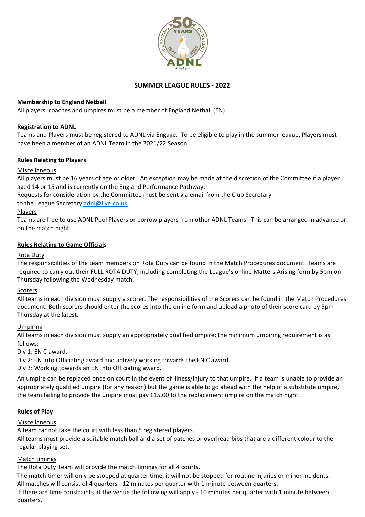

## **SUMMER LEAGUE RULES - 2022**

## **Membership to England Netball**

All players, coaches and umpires must be a member of England Netball (EN).

### **Registration to ADNL**

Teams and Players must be registered to ADNL via Engage. To be eligible to play in the summer league, Players must have been a member of an ADNL Team in the 2021/22 Season.

### **Rules Relating to Players**

### Miscellaneous

All players must be 16 years of age or older. An exception may be made at the discretion of the Committee if a player aged 14 or 15 and is currently on the England Performance Pathway.

Requests for consideration by the Committee must be sent via email from the Club Secretary

to the League Secretary adnl@live.co.uk.

Players

Teams are free to use ADNL Pool Players or borrow players from other ADNL Teams. This can be arranged in advance or on the match night.

### **Rules Relating to Game Officials**

### **Rota Dutv**

The responsibilities of the team members on Rota Duty can be found in the Match Procedures document. Teams are required to carry out their FULL ROTA DUTY, including completing the League's online Matters Arising form by 5pm on Thursday following the Wednesday match.

### **Scorers**

All teams in each division must supply a scorer. The responsibilities of the Scorers can be found in the Match Procedures document. Both scorers should enter the scores into the online form and upload a photo of their score card by 5pm Thursday at the latest.

### Umpiring

All teams in each division must supply an appropriately qualified umpire; the minimum umpiring requirement is as follows:

Div 1: EN C award.

Div 2: EN Into Officiating award and actively working towards the EN C award.

Div 3: Working towards an EN Into Officiating award.

An umpire can be replaced once on court in the event of illness/injury to that umpire. If a team is unable to provide an appropriately qualified umpire (for any reason) but the game is able to go ahead with the help of a substitute umpire, the team failing to provide the umpire must pay  $£15.00$  to the replacement umpire on the match night.

# **Rules of Play**

# Miscellaneous

A team cannot take the court with less than 5 registered players.

All teams must provide a suitable match ball and a set of patches or overhead bibs that are a different colour to the regular playing set.

# Match timings

The Rota Duty Team will provide the match timings for all 4 courts.

The match timer will only be stopped at quarter time, it will not be stopped for routine injuries or minor incidents. All matches will consist of 4 quarters - 12 minutes per quarter with 1 minute between quarters.

If there are time constraints at the venue the following will apply - 10 minutes per quarter with 1 minute between quarters.